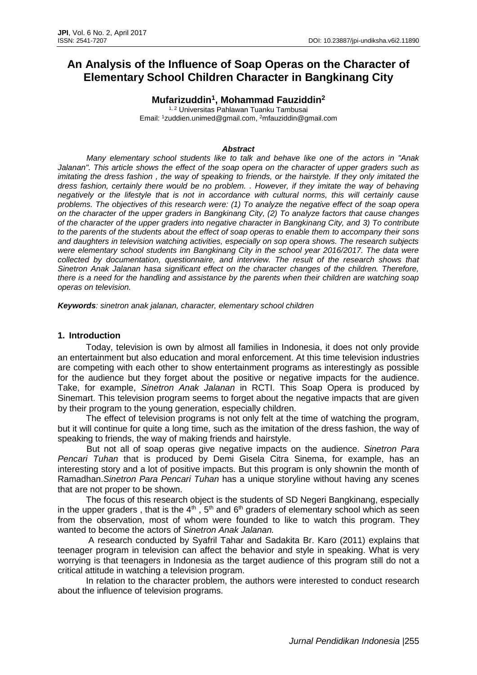# **An Analysis of the Influence of Soap Operas on the Character of Elementary School Children Character in Bangkinang City**

**Mufarizuddin<sup>1</sup> , Mohammad Fauziddin<sup>2</sup>**

1, 2 Universitas Pahlawan Tuanku Tambusai Email: <sup>1</sup>[zuddien.unimed@gmail.com,](mailto:zuddien.unimed@gmail.com) <sup>2</sup>[mfauziddin@gmail.com](mailto:mfauziddin@gmail.com)

#### *Abstract*

*Many elementary school students like to talk and behave like one of the actors in "Anak Jalanan". This article shows the effect of the soap opera on the character of upper graders such as imitating the dress fashion , the way of speaking to friends, or the hairstyle. If they only imitated the dress fashion, certainly there would be no problem. . However, if they imitate the way of behaving negatively or the lifestyle that is not in accordance with cultural norms, this will certainly cause problems. The objectives of this research were: (1) To analyze the negative effect of the soap opera on the character of the upper graders in Bangkinang City, (2) To analyze factors that cause changes of the character of the upper graders into negative character in Bangkinang City, and 3) To contribute to the parents of the students about the effect of soap operas to enable them to accompany their sons and daughters in television watching activities, especially on sop opera shows. The research subjects were elementary school students inn Bangkinang City in the school year 2016/2017. The data were collected by documentation, questionnaire, and interview. The result of the research shows that Sinetron Anak Jalanan hasa significant effect on the character changes of the children. Therefore, there is a need for the handling and assistance by the parents when their children are watching soap operas on television.*

*Keywords: sinetron anak jalanan, character, elementary school children* 

## **1. Introduction**

Today, television is own by almost all families in Indonesia, it does not only provide an entertainment but also education and moral enforcement. At this time television industries are competing with each other to show entertainment programs as interestingly as possible for the audience but they forget about the positive or negative impacts for the audience. Take, for example, *Sinetron Anak Jalanan* in RCTI. This Soap Opera is produced by Sinemart. This television program seems to forget about the negative impacts that are given by their program to the young generation, especially children.

The effect of television programs is not only felt at the time of watching the program, but it will continue for quite a long time, such as the imitation of the dress fashion, the way of speaking to friends, the way of making friends and hairstyle.

But not all of soap operas give negative impacts on the audience. *Sinetron Para Pencari Tuhan* that is produced by Demi Gisela Citra Sinema, for example, has an interesting story and a lot of positive impacts. But this program is only shownin the month of Ramadhan.*Sinetron Para Pencari Tuhan* has a unique storyline without having any scenes that are not proper to be shown.

The focus of this research object is the students of SD Negeri Bangkinang, especially in the upper graders, that is the  $4<sup>th</sup>$ ,  $5<sup>th</sup>$  and  $6<sup>th</sup>$  graders of elementary school which as seen from the observation, most of whom were founded to like to watch this program. They wanted to become the actors of *Sinetron Anak Jalanan.*

A research conducted by Syafril Tahar and Sadakita Br. Karo (2011) explains that teenager program in television can affect the behavior and style in speaking. What is very worrying is that teenagers in Indonesia as the target audience of this program still do not a critical attitude in watching a television program.

In relation to the character problem, the authors were interested to conduct research about the influence of television programs.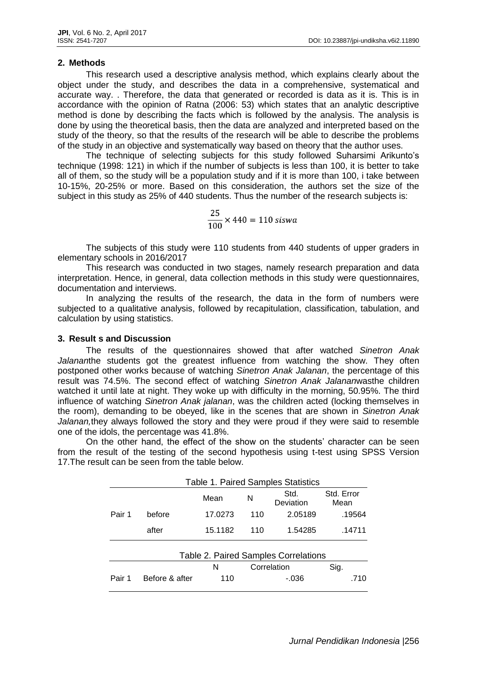### **2. Methods**

This research used a descriptive analysis method, which explains clearly about the object under the study, and describes the data in a comprehensive, systematical and accurate way. . Therefore, the data that generated or recorded is data as it is. This is in accordance with the opinion of Ratna (2006: 53) which states that an analytic descriptive method is done by describing the facts which is followed by the analysis. The analysis is done by using the theoretical basis, then the data are analyzed and interpreted based on the study of the theory, so that the results of the research will be able to describe the problems of the study in an objective and systematically way based on theory that the author uses.

The technique of selecting subjects for this study followed Suharsimi Arikunto's technique (1998: 121) in which if the number of subjects is less than 100, it is better to take all of them, so the study will be a population study and if it is more than 100, i take between 10-15%, 20-25% or more. Based on this consideration, the authors set the size of the subject in this study as 25% of 440 students. Thus the number of the research subjects is:

$$
\frac{25}{100} \times 440 = 110 \text{ siswa}
$$

The subjects of this study were 110 students from 440 students of upper graders in elementary schools in 2016/2017

This research was conducted in two stages, namely research preparation and data interpretation. Hence, in general, data collection methods in this study were questionnaires, documentation and interviews.

In analyzing the results of the research, the data in the form of numbers were subjected to a qualitative analysis, followed by recapitulation, classification, tabulation, and calculation by using statistics.

#### **3. Result s and Discussion**

The results of the questionnaires showed that after watched *Sinetron Anak Jalanan*the students got the greatest influence from watching the show. They often postponed other works because of watching *Sinetron Anak Jalanan*, the percentage of this result was 74.5%. The second effect of watching *Sinetron Anak Jalanan*wasthe children watched it until late at night. They woke up with difficulty in the morning, 50.95%. The third influence of watching *Sinetron Anak jalanan*, was the children acted (locking themselves in the room), demanding to be obeyed, like in the scenes that are shown in *Sinetron Anak Jalanan,*they always followed the story and they were proud if they were said to resemble one of the idols, the percentage was 41.8%.

On the other hand, the effect of the show on the students' character can be seen from the result of the testing of the second hypothesis using t-test using SPSS Version 17.The result can be seen from the table below.

|                                      | <b>Table 1. Paired Samples Statistics</b> |         |             |                   |                    |
|--------------------------------------|-------------------------------------------|---------|-------------|-------------------|--------------------|
|                                      |                                           | Mean    | N           | Std.<br>Deviation | Std. Error<br>Mean |
| Pair 1                               | before                                    | 17.0273 | 110         | 2.05189           | .19564             |
|                                      | after                                     | 15.1182 | 110         | 1.54285           | .14711             |
| Table 2. Paired Samples Correlations |                                           |         |             |                   |                    |
|                                      |                                           | N       | Correlation |                   | Sig.               |
| Pair 1                               | Before & after                            | 110     |             | -.036             | 710                |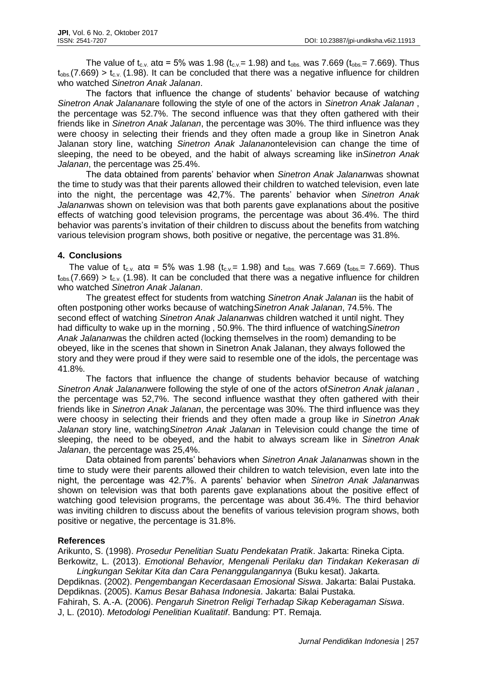The value of t<sub>c.v.</sub> atα = 5% was 1.98 (t<sub>c.v.</sub>= 1.98) and t<sub>obs</sub>. was 7.669 (t<sub>obs.</sub>= 7.669). Thus  $t_{obs}(7.669) > t_{c.v.}$  (1.98). It can be concluded that there was a negative influence for children who watched *Sinetron Anak Jalanan*.

The factors that influence the change of students' behavior because of watchin*g Sinetron Anak Jalanan*are following the style of one of the actors in *Sinetron Anak Jalanan* , the percentage was 52.7%. The second influence was that they often gathered with their friends like in *Sinetron Anak Jalanan*, the percentage was 30%. The third influence was they were choosy in selecting their friends and they often made a group like in Sinetron Anak Jalanan story line, watching *Sinetron Anak Jalanan*ontelevision can change the time of sleeping, the need to be obeyed, and the habit of always screaming like in*Sinetron Anak Jalanan*, the percentage was 25.4%.

The data obtained from parents' behavior when *Sinetron Anak Jalanan*was shownat the time to study was that their parents allowed their children to watched television, even late into the night, the percentage was 42,7%. The parents' behavior when *Sinetron Anak Jalanan*was shown on television was that both parents gave explanations about the positive effects of watching good television programs, the percentage was about 36.4%. The third behavior was parents's invitation of their children to discuss about the benefits from watching various television program shows, both positive or negative, the percentage was 31.8%.

# **4. Conclusions**

The value of t<sub>c.v.</sub> at $\alpha$  = 5% was 1.98 (t<sub>c.v.</sub>= 1.98) and t<sub>obs.</sub> was 7.669 (t<sub>obs.</sub>= 7.669). Thus  $t_{obs}$  (7.669) >  $t_{c.v.}$  (1.98). It can be concluded that there was a negative influence for children who watched *Sinetron Anak Jalanan*.

The greatest effect for students from watching *Sinetron Anak Jalanan* iis the habit of often postponing other works because of watching*Sinetron Anak Jalanan*, 74.5%. The second effect of watching *Sinetron Anak Jalanan*was children watched it until night. They had difficulty to wake up in the morning , 50.9%. The third influence of watching*Sinetron Anak Jalanan*was the children acted (locking themselves in the room) demanding to be obeyed, like in the scenes that shown in Sinetron Anak Jalanan, they always followed the story and they were proud if they were said to resemble one of the idols, the percentage was 41.8%.

The factors that influence the change of students behavior because of watching *Sinetron Anak Jalanan*were following the style of one of the actors of*Sinetron Anak jalanan* , the percentage was 52,7%. The second influence wasthat they often gathered with their friends like in *Sinetron Anak Jalanan*, the percentage was 30%. The third influence was they were choosy in selecting their friends and they often made a group like i*n Sinetron Anak Jalanan* story line, watching*Sinetron Anak Jalanan* in Television could change the time of sleeping, the need to be obeyed, and the habit to always scream like in *Sinetron Anak Jalanan*, the percentage was 25,4%.

Data obtained from parents' behaviors when *Sinetron Anak Jalanan*was shown in the time to study were their parents allowed their children to watch television, even late into the night, the percentage was 42.7%. A parents' behavior when *Sinetron Anak Jalanan*was shown on television was that both parents gave explanations about the positive effect of watching good television programs, the percentage was about 36.4%. The third behavior was inviting children to discuss about the benefits of various television program shows, both positive or negative, the percentage is 31.8%.

# **References**

Arikunto, S. (1998). *Prosedur Penelitian Suatu Pendekatan Pratik*. Jakarta: Rineka Cipta. Berkowitz, L. (2013). *Emotional Behavior, Mengenali Perilaku dan Tindakan Kekerasan di* 

*Lingkungan Sekitar Kita dan Cara Penanggulangannya* (Buku kesat). Jakarta.

Depdiknas. (2002). *Pengembangan Kecerdasaan Emosional Siswa*. Jakarta: Balai Pustaka. Depdiknas. (2005). *Kamus Besar Bahasa Indonesia*. Jakarta: Balai Pustaka.

Fahirah, S. A.-A. (2006). *Pengaruh Sinetron Religi Terhadap Sikap Keberagaman Siswa*. J, L. (2010). *Metodologi Penelitian Kualitatif*. Bandung: PT. Remaja.